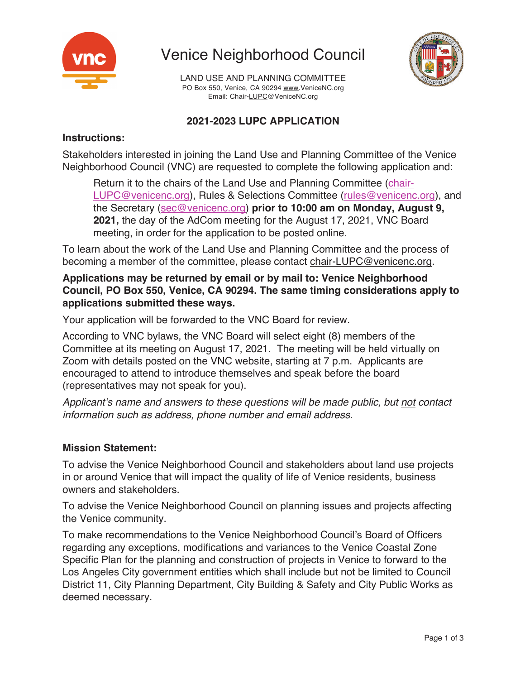

Venice Neighborhood Council



LAND USE AND PLANNING COMMITTEE PO Box 550, Venice, CA 90294 www.VeniceNC.org Email: Chair-LUPC@VeniceNC.org

# **2021-2023 LUPC APPLICATION**

### **Instructions:**

Stakeholders interested in joining the Land Use and Planning Committee of the Venice Neighborhood Council (VNC) are requested to complete the following application and:

Return it to the chairs of the Land Use and Planning Committee (chair-LUPC@venicenc.org), Rules & Selections Committee (rules@venicenc.org), and the Secretary (sec@venicenc.org) **prior to 10:00 am on Monday, August 9, 2021,** the day of the AdCom meeting for the August 17, 2021, VNC Board meeting, in order for the application to be posted online.

To learn about the work of the Land Use and Planning Committee and the process of becoming a member of the committee, please contact chair-LUPC@venicenc.org.

**Applications may be returned by email or by mail to: Venice Neighborhood Council, PO Box 550, Venice, CA 90294. The same timing considerations apply to applications submitted these ways.**

Your application will be forwarded to the VNC Board for review.

According to VNC bylaws, the VNC Board will select eight (8) members of the Committee at its meeting on August 17, 2021. The meeting will be held virtually on Zoom with details posted on the VNC website, starting at 7 p.m. Applicants are encouraged to attend to introduce themselves and speak before the board (representatives may not speak for you).

*Applicant's name and answers to these questions will be made public, but not contact information such as address, phone number and email address.*

# **Mission Statement:**

To advise the Venice Neighborhood Council and stakeholders about land use projects in or around Venice that will impact the quality of life of Venice residents, business owners and stakeholders.

To advise the Venice Neighborhood Council on planning issues and projects affecting the Venice community.

To make recommendations to the Venice Neighborhood Council's Board of Officers regarding any exceptions, modifications and variances to the Venice Coastal Zone Specific Plan for the planning and construction of projects in Venice to forward to the Los Angeles City government entities which shall include but not be limited to Council District 11, City Planning Department, City Building & Safety and City Public Works as deemed necessary.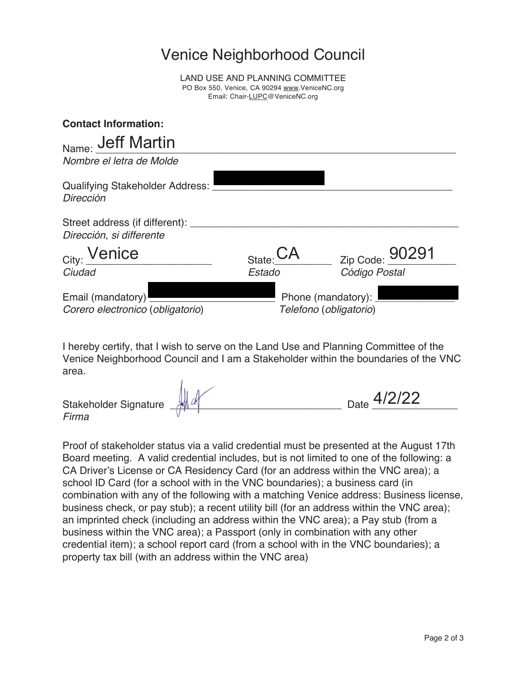# Venice Neighborhood Council

LAND USE AND PLANNING COMMITTEE PO Box 550, Venice, CA 90294 www.VeniceNC.org Email: Chair-LUPC@VeniceNC.org

| <b>Contact Information:</b>                                    |                      |                                              |
|----------------------------------------------------------------|----------------------|----------------------------------------------|
| Name: Jeff Martin                                              |                      |                                              |
| Nombre el letra de Molde                                       |                      |                                              |
| <b>Qualifying Stakeholder Address:</b><br>Dirección            |                      |                                              |
| Street address (if different): ___<br>Dirección, si differente |                      |                                              |
| City: Venice                                                   | $_{\text{State}}$ CA | Zip Code: 90291                              |
| Ciudad                                                         | Estado               | Código Postal                                |
| Email (mandatory)<br>Corero electronico (obligatorio)          |                      | Phone (mandatory):<br>Telefono (obligatorio) |

I hereby certify, that I wish to serve on the Land Use and Planning Committee of the Venice Neighborhood Council and I am a Stakeholder within the boundaries of the VNC area.

| .4/2/22<br>$\mathcal{H}$ are<br>Date<br>Stakeholder Signature<br>Firma |  |  |  |  |
|------------------------------------------------------------------------|--|--|--|--|
|------------------------------------------------------------------------|--|--|--|--|

Proof of stakeholder status via a valid credential must be presented at the August 17th Board meeting. A valid credential includes, but is not limited to one of the following: a CA Driver's License or CA Residency Card (for an address within the VNC area); a school ID Card (for a school with in the VNC boundaries); a business card (in combination with any of the following with a matching Venice address: Business license, business check, or pay stub); a recent utility bill (for an address within the VNC area); an imprinted check (including an address within the VNC area); a Pay stub (from a business within the VNC area); a Passport (only in combination with any other credential item); a school report card (from a school with in the VNC boundaries); a property tax bill (with an address within the VNC area)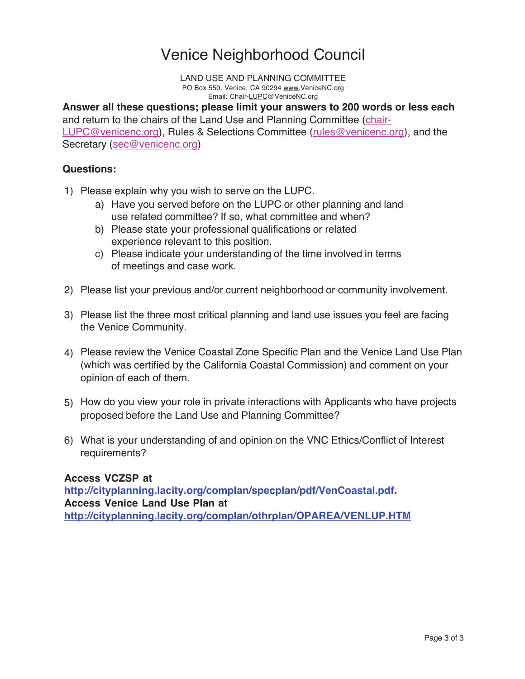# Venice Neighborhood Council

 LAND USE AND PLANNING COMMITTEE PO Box 550, Venice, CA 90294 www.VeniceNC.org Email: Chair-LUPC@VeniceNC.org

**Answer all these questions; please limit your answers to 200 words or less each**  and return to the chairs of the Land Use and Planning Committee (chair-LUPC@venicenc.org), Rules & Selections Committee (rules@venicenc.org), and the Secretary (sec@venicenc.org)

#### **Questions:**

- 1) Please explain why you wish to serve on the LUPC.
	- a) Have you served before on the LUPC or other planning and land use related committee? If so, what committee and when?
	- b) Please state your professional qualifications or related experience relevant to this position.
	- c) Please indicate your understanding of the time involved in terms of meetings and case work.
- 2) Please list your previous and/or current neighborhood or community involvement.
- 3) Please list the three most critical planning and land use issues you feel are facing the Venice Community.
- 4) Please review the Venice Coastal Zone Specific Plan and the Venice Land Use Plan (which was certified by the California Coastal Commission) and comment on your opinion of each of them.
- 5) How do you view your role in private interactions with Applicants who have projects proposed before the Land Use and Planning Committee?
- 6) What is your understanding of and opinion on the VNC Ethics/Conflict of Interest requirements?

#### **Access VCZSP at**

**http://cityplanning.lacity.org/complan/specplan/pdf/VenCoastal.pdf. Access Venice Land Use Plan at http://cityplanning.lacity.org/complan/othrplan/OPAREA/VENLUP.HTM**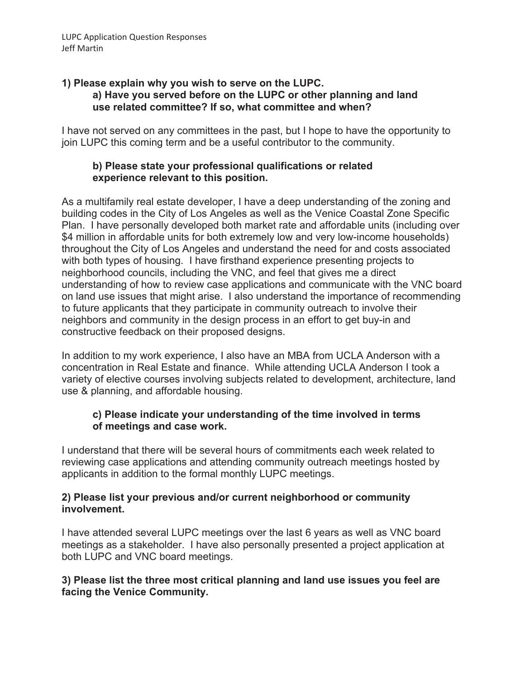#### **1) Please explain why you wish to serve on the LUPC. a) Have you served before on the LUPC or other planning and land use related committee? If so, what committee and when?**

I have not served on any committees in the past, but I hope to have the opportunity to join LUPC this coming term and be a useful contributor to the community.

#### **b) Please state your professional qualifications or related experience relevant to this position.**

As a multifamily real estate developer, I have a deep understanding of the zoning and building codes in the City of Los Angeles as well as the Venice Coastal Zone Specific Plan. I have personally developed both market rate and affordable units (including over \$4 million in affordable units for both extremely low and very low-income households) throughout the City of Los Angeles and understand the need for and costs associated with both types of housing. I have firsthand experience presenting projects to neighborhood councils, including the VNC, and feel that gives me a direct understanding of how to review case applications and communicate with the VNC board on land use issues that might arise. I also understand the importance of recommending to future applicants that they participate in community outreach to involve their neighbors and community in the design process in an effort to get buy-in and constructive feedback on their proposed designs.

In addition to my work experience, I also have an MBA from UCLA Anderson with a concentration in Real Estate and finance. While attending UCLA Anderson I took a variety of elective courses involving subjects related to development, architecture, land use & planning, and affordable housing.

#### **c) Please indicate your understanding of the time involved in terms of meetings and case work.**

I understand that there will be several hours of commitments each week related to reviewing case applications and attending community outreach meetings hosted by applicants in addition to the formal monthly LUPC meetings.

#### **2) Please list your previous and/or current neighborhood or community involvement.**

I have attended several LUPC meetings over the last 6 years as well as VNC board meetings as a stakeholder. I have also personally presented a project application at both LUPC and VNC board meetings.

#### **3) Please list the three most critical planning and land use issues you feel are facing the Venice Community.**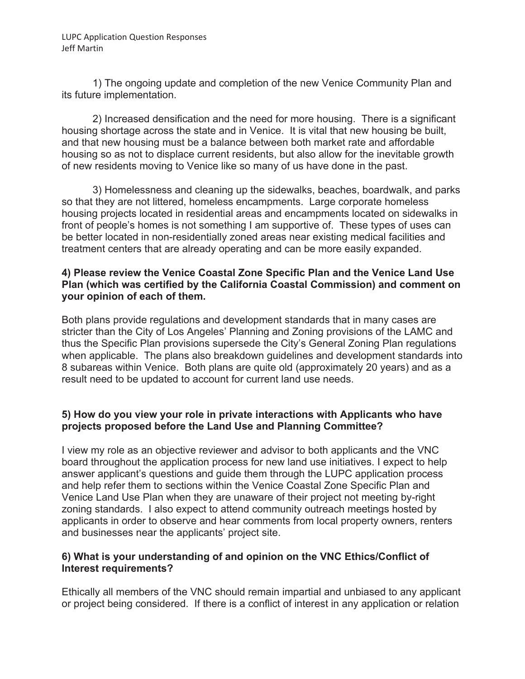1) The ongoing update and completion of the new Venice Community Plan and its future implementation.

2) Increased densification and the need for more housing. There is a significant housing shortage across the state and in Venice. It is vital that new housing be built, and that new housing must be a balance between both market rate and affordable housing so as not to displace current residents, but also allow for the inevitable growth of new residents moving to Venice like so many of us have done in the past.

3) Homelessness and cleaning up the sidewalks, beaches, boardwalk, and parks so that they are not littered, homeless encampments. Large corporate homeless housing projects located in residential areas and encampments located on sidewalks in front of people's homes is not something I am supportive of. These types of uses can be better located in non-residentially zoned areas near existing medical facilities and treatment centers that are already operating and can be more easily expanded.

#### **4) Please review the Venice Coastal Zone Specific Plan and the Venice Land Use Plan (which was certified by the California Coastal Commission) and comment on your opinion of each of them.**

Both plans provide regulations and development standards that in many cases are stricter than the City of Los Angeles' Planning and Zoning provisions of the LAMC and thus the Specific Plan provisions supersede the City's General Zoning Plan regulations when applicable. The plans also breakdown guidelines and development standards into 8 subareas within Venice. Both plans are quite old (approximately 20 years) and as a result need to be updated to account for current land use needs.

# **5) How do you view your role in private interactions with Applicants who have projects proposed before the Land Use and Planning Committee?**

I view my role as an objective reviewer and advisor to both applicants and the VNC board throughout the application process for new land use initiatives. I expect to help answer applicant's questions and guide them through the LUPC application process and help refer them to sections within the Venice Coastal Zone Specific Plan and Venice Land Use Plan when they are unaware of their project not meeting by-right zoning standards. I also expect to attend community outreach meetings hosted by applicants in order to observe and hear comments from local property owners, renters and businesses near the applicants' project site.

#### **6) What is your understanding of and opinion on the VNC Ethics/Conflict of Interest requirements?**

Ethically all members of the VNC should remain impartial and unbiased to any applicant or project being considered. If there is a conflict of interest in any application or relation